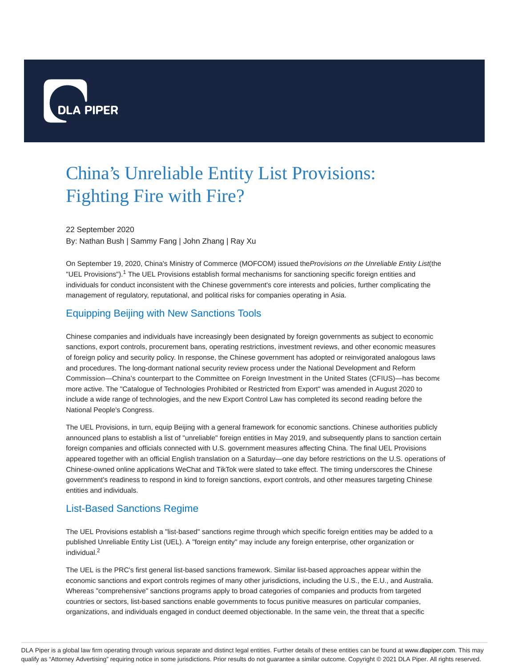

# China's Unreliable Entity List Provisions: Fighting Fire with Fire?

22 September 2020

By: Nathan Bush | Sammy Fang | John Zhang | Ray Xu

On September 19, 2020, China's Ministry of Commerce (MOFCOM) issued the Provisions on the Unreliable Entity List(the "UEL Provisions").<sup>1</sup> The UEL Provisions establish formal mechanisms for sanctioning specific foreign entities and individuals for conduct inconsistent with the Chinese government's core interests and policies, further complicating the management of regulatory, reputational, and political risks for companies operating in Asia.

# Equipping Beijing with New Sanctions Tools

Chinese companies and individuals have increasingly been designated by foreign governments as subject to economic sanctions, export controls, procurement bans, operating restrictions, investment reviews, and other economic measures of foreign policy and security policy. In response, the Chinese government has adopted or reinvigorated analogous laws and procedures. The long-dormant national security review process under the National Development and Reform Commission—China's counterpart to the Committee on Foreign Investment in the United States (CFIUS)—has become more active. The "Catalogue of Technologies Prohibited or Restricted from Export" was amended in August 2020 to include a wide range of technologies, and the new Export Control Law has completed its second reading before the National People's Congress.

The UEL Provisions, in turn, equip Beijing with a general framework for economic sanctions. Chinese authorities publicly announced plans to establish a list of "unreliable" foreign entities in May 2019, and subsequently plans to sanction certain foreign companies and officials connected with U.S. government measures affecting China. The final UEL Provisions appeared together with an official English translation on a Saturday—one day before restrictions on the U.S. operations of Chinese-owned online applications WeChat and TikTok were slated to take effect. The timing underscores the Chinese government's readiness to respond in kind to foreign sanctions, export controls, and other measures targeting Chinese entities and individuals.

## List-Based Sanctions Regime

The UEL Provisions establish a "list-based" sanctions regime through which specific foreign entities may be added to a published Unreliable Entity List (UEL). A "foreign entity" may include any foreign enterprise, other organization or individual. 2

The UEL is the PRC's first general list-based sanctions framework. Similar list-based approaches appear within the economic sanctions and export controls regimes of many other jurisdictions, including the U.S., the E.U., and Australia. Whereas "comprehensive" sanctions programs apply to broad categories of companies and products from targeted countries or sectors, list-based sanctions enable governments to focus punitive measures on particular companies, organizations, and individuals engaged in conduct deemed objectionable. In the same vein, the threat that a specific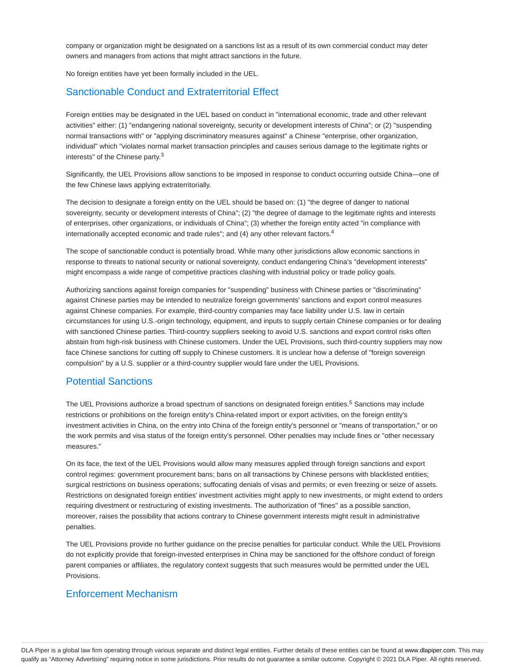company or organization might be designated on a sanctions list as a result of its own commercial conduct may deter owners and managers from actions that might attract sanctions in the future.

No foreign entities have yet been formally included in the UEL.

## Sanctionable Conduct and Extraterritorial Effect

Foreign entities may be designated in the UEL based on conduct in "international economic, trade and other relevant activities" either: (1) "endangering national sovereignty, security or development interests of China"; or (2) "suspending normal transactions with" or "applying discriminatory measures against" a Chinese "enterprise, other organization, individual" which "violates normal market transaction principles and causes serious damage to the legitimate rights or interests" of the Chinese party.<sup>3</sup>

Significantly, the UEL Provisions allow sanctions to be imposed in response to conduct occurring outside China—one of the few Chinese laws applying extraterritorially.

The decision to designate a foreign entity on the UEL should be based on: (1) "the degree of danger to national sovereignty, security or development interests of China"; (2) "the degree of damage to the legitimate rights and interests of enterprises, other organizations, or individuals of China"; (3) whether the foreign entity acted "in compliance with internationally accepted economic and trade rules"; and (4) any other relevant factors.<sup>4</sup>

The scope of sanctionable conduct is potentially broad. While many other jurisdictions allow economic sanctions in response to threats to national security or national sovereignty, conduct endangering China's "development interests" might encompass a wide range of competitive practices clashing with industrial policy or trade policy goals.

Authorizing sanctions against foreign companies for "suspending" business with Chinese parties or "discriminating" against Chinese parties may be intended to neutralize foreign governments' sanctions and export control measures against Chinese companies. For example, third-country companies may face liability under U.S. law in certain circumstances for using U.S.-origin technology, equipment, and inputs to supply certain Chinese companies or for dealing with sanctioned Chinese parties. Third-country suppliers seeking to avoid U.S. sanctions and export control risks often abstain from high-risk business with Chinese customers. Under the UEL Provisions, such third-country suppliers may now face Chinese sanctions for cutting off supply to Chinese customers. It is unclear how a defense of "foreign sovereign compulsion" by a U.S. supplier or a third-country supplier would fare under the UEL Provisions.

## Potential Sanctions

The UEL Provisions authorize a broad spectrum of sanctions on designated foreign entities.<sup>5</sup> Sanctions may include restrictions or prohibitions on the foreign entity's China-related import or export activities, on the foreign entity's investment activities in China, on the entry into China of the foreign entity's personnel or "means of transportation," or on the work permits and visa status of the foreign entity's personnel. Other penalties may include fines or "other necessary measures."

On its face, the text of the UEL Provisions would allow many measures applied through foreign sanctions and export control regimes: government procurement bans; bans on all transactions by Chinese persons with blacklisted entities; surgical restrictions on business operations; suffocating denials of visas and permits; or even freezing or seize of assets. Restrictions on designated foreign entities' investment activities might apply to new investments, or might extend to orders requiring divestment or restructuring of existing investments. The authorization of "fines" as a possible sanction, moreover, raises the possibility that actions contrary to Chinese government interests might result in administrative penalties.

The UEL Provisions provide no further guidance on the precise penalties for particular conduct. While the UEL Provisions do not explicitly provide that foreign-invested enterprises in China may be sanctioned for the offshore conduct of foreign parent companies or affiliates, the regulatory context suggests that such measures would be permitted under the UEL Provisions.

### Enforcement Mechanism

DLA Piper is a global law firm operating through various separate and distinct legal entities. Further details of these entities can be found at www.dlapiper.com. This may qualify as "Attorney Advertising" requiring notice in some jurisdictions. Prior results do not guarantee a similar outcome. Copyright © 2021 DLA Piper. All rights reserved.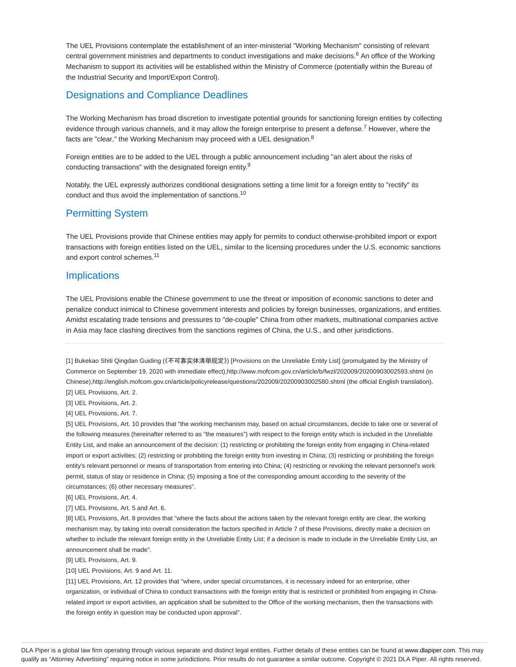The UEL Provisions contemplate the establishment of an inter-ministerial "Working Mechanism" consisting of relevant central government ministries and departments to conduct investigations and make decisions.<sup>6</sup> An office of the Working Mechanism to support its activities will be established within the Ministry of Commerce (potentially within the Bureau of the Industrial Security and Import/Export Control).

## Designations and Compliance Deadlines

The Working Mechanism has broad discretion to investigate potential grounds for sanctioning foreign entities by collecting evidence through various channels, and it may allow the foreign enterprise to present a defense.<sup>7</sup> However, where the facts are "clear," the Working Mechanism may proceed with a UEL designation.<sup>8</sup>

Foreign entities are to be added to the UEL through a public announcement including "an alert about the risks of conducting transactions" with the designated foreign entity.<sup>9</sup>

Notably, the UEL expressly authorizes conditional designations setting a time limit for a foreign entity to "rectify" its conduct and thus avoid the implementation of sanctions.<sup>10</sup>

## Permitting System

The UEL Provisions provide that Chinese entities may apply for permits to conduct otherwise-prohibited import or export transactions with foreign entities listed on the UEL, similar to the licensing procedures under the U.S. economic sanctions and export control schemes.<sup>11</sup>

#### **Implications**

The UEL Provisions enable the Chinese government to use the threat or imposition of economic sanctions to deter and penalize conduct inimical to Chinese government interests and policies by foreign businesses, organizations, and entities. Amidst escalating trade tensions and pressures to "de-couple" China from other markets, multinational companies active in Asia may face clashing directives from the sanctions regimes of China, the U.S., and other jurisdictions.

[1] Bukekao Shiti Qingdan Guiding (《不可靠实体清单规定》) [Provisions on the Unreliable Entity List] (promulgated by the Ministry of Commerce on September 19, 2020 with immediate effect),http://www.mofcom.gov.cn/article/b/fwzl/202009/20200903002593.shtml (in Chinese),http://english.mofcom.gov.cn/article/policyrelease/questions/202009/20200903002580.shtml (the official English translation).

[2] UEL Provisions, Art. 2.

[3] UEL Provisions, Art. 2.

[4] UEL Provisions, Art. 7.

[5] UEL Provisions, Art. 10 provides that "the working mechanism may, based on actual circumstances, decide to take one or several of the following measures (hereinafter referred to as "the measures") with respect to the foreign entity which is included in the Unreliable Entity List, and make an announcement of the decision: (1) restricting or prohibiting the foreign entity from engaging in China-related import or export activities; (2) restricting or prohibiting the foreign entity from investing in China; (3) restricting or prohibiting the foreign entity's relevant personnel or means of transportation from entering into China; (4) restricting or revoking the relevant personnel's work permit, status of stay or residence in China; (5) imposing a fine of the corresponding amount according to the severity of the circumstances; (6) other necessary measures".

[6] UEL Provisions, Art. 4.

[7] UEL Provisions, Art. 5 and Art. 6.

[8] UEL Provisions, Art. 8 provides that "where the facts about the actions taken by the relevant foreign entity are clear, the working mechanism may, by taking into overall consideration the factors specified in Article 7 of these Provisions, directly make a decision on whether to include the relevant foreign entity in the Unreliable Entity List; if a decision is made to include in the Unreliable Entity List, an announcement shall be made".

[9] UEL Provisions, Art. 9.

[10] UEL Provisions, Art. 9 and Art. 11.

[11] UEL Provisions, Art. 12 provides that "where, under special circumstances, it is necessary indeed for an enterprise, other organization, or individual of China to conduct transactions with the foreign entity that is restricted or prohibited from engaging in Chinarelated import or export activities, an application shall be submitted to the Office of the working mechanism, then the transactions with the foreign entity in question may be conducted upon approval".

DLA Piper is a global law firm operating through various separate and distinct legal entities. Further details of these entities can be found at www.dlapiper.com. This may qualify as "Attorney Advertising" requiring notice in some jurisdictions. Prior results do not guarantee a similar outcome. Copyright © 2021 DLA Piper. All rights reserved.